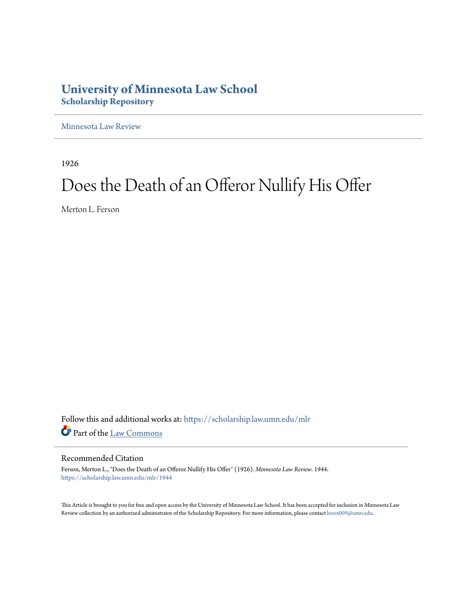### **University of Minnesota Law School [Scholarship Repository](https://scholarship.law.umn.edu?utm_source=scholarship.law.umn.edu%2Fmlr%2F1944&utm_medium=PDF&utm_campaign=PDFCoverPages)**

[Minnesota Law Review](https://scholarship.law.umn.edu/mlr?utm_source=scholarship.law.umn.edu%2Fmlr%2F1944&utm_medium=PDF&utm_campaign=PDFCoverPages)

1926

## Does the Death of an Offeror Nullify His Offer

Merton L. Ferson

Follow this and additional works at: [https://scholarship.law.umn.edu/mlr](https://scholarship.law.umn.edu/mlr?utm_source=scholarship.law.umn.edu%2Fmlr%2F1944&utm_medium=PDF&utm_campaign=PDFCoverPages) Part of the [Law Commons](http://network.bepress.com/hgg/discipline/578?utm_source=scholarship.law.umn.edu%2Fmlr%2F1944&utm_medium=PDF&utm_campaign=PDFCoverPages)

#### Recommended Citation

Ferson, Merton L., "Does the Death of an Offeror Nullify His Offer" (1926). *Minnesota Law Review*. 1944. [https://scholarship.law.umn.edu/mlr/1944](https://scholarship.law.umn.edu/mlr/1944?utm_source=scholarship.law.umn.edu%2Fmlr%2F1944&utm_medium=PDF&utm_campaign=PDFCoverPages)

This Article is brought to you for free and open access by the University of Minnesota Law School. It has been accepted for inclusion in Minnesota Law Review collection by an authorized administrator of the Scholarship Repository. For more information, please contact [lenzx009@umn.edu.](mailto:lenzx009@umn.edu)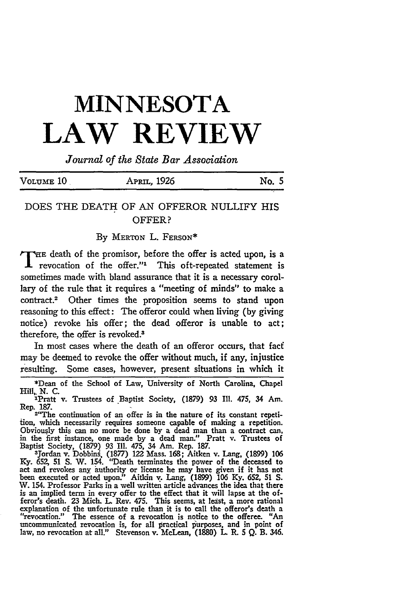# **MINNESOTA LAW REVIEW**

*Journal of the State Bar Association*

| VOLUME <sub>10</sub> | APRIL, 1926 | No. 5 |  |
|----------------------|-------------|-------|--|
|                      |             |       |  |

#### DOES THE DEATH OF AN OFFEROR NULLIFY HIS OFFER?

By MERTON L. FERSON\*

THE death of the promisor, before the offer is acted upon, is a  $\mathbf 1$  revocation of the offer." This oft-repeated statement is sometimes made with bland assurance that it is a necessary corollary of the rule that it requires a "meeting of minds" to make a contract.<sup>2</sup> Other times the proposition seems to stand upon reasoning to this effect: The offeror could when living (by giving notice) revoke his offer; the dead offeror is unable to act; therefore, the offer is revoked.<sup>3</sup>

In most cases where the death of an offeror occurs, that faci may be deemed to revoke the offer without much, if any, injustice resulting. Some cases, however, present situations in which it

\*Dean of the School of Law, University of North Carolina, Chapel Hill, N. C.

lPratt v. Trustees of Baptist Society, (1879) 93 Ill. 475, 34 Am. Rep. 187. 2"The continuation of an offer is in the nature of its constant repeti-

ion, which necessarily requires someone capable of making a repetition. Obviously this can no more be done **by** a dead man than a contract **can,** in the first instance, one made **by** a dead man." Pratt v. Trustees of Baptist Society, **(1879)** 93 Ill. 475, 34 Am. Rep. **187.** <sup>3</sup> Jordan v. Dobbins, **(1877)** 122 Mass. **168;** Aitken v. Lang, **(1899) 106**

**Ky.** *652,* **51 S.** W. 154. "Death terminates the power of the deceased to act and revokes any authority or license he may have given if it has not been executed or acted upon:' Aitkin v. Lang, **(1899) 106 Ky. 652, 51 S.** W. 154. Professor Parks in a well written article advances the idea that there is an implied term in every offer to the effect that it will lapse at the offeror's death. **23** Mich. **L.** Rev. 475. This seems, at **least,** a more rational explanation of the unfortunate rule than it is to call the offeror's death a "revocation." The essence of a revocation is notice to the offeree. *"An* uncommunicated revocation is, for all practical purposes, and in point of law, no revocation at all." Stevenson v. McLean, **(1880) L.** R. **5 Q.** B. 346.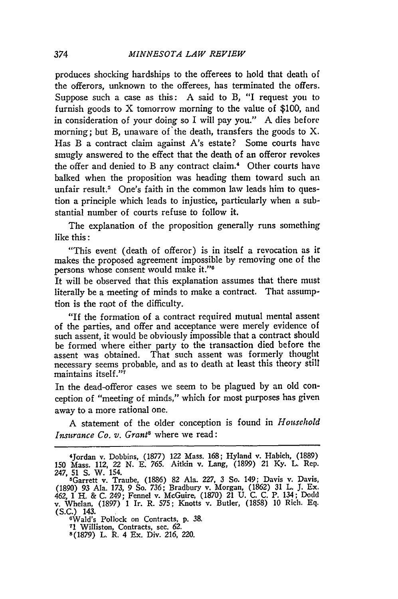produces shocking hardships to the offerees to hold that death of the offerors, unknown to the offerees, has terminated the offers. Suppose such a case as this: A said to B, "I request you to furnish goods to X tomorrow morning to the value of **\$100,** and in consideration of your doing so I will pay you." **A** dies before morning; but B, unaware of the death, transfers the goods to  $X$ . Has B a contract claim against A's estate? Some courts have smugly answered to the effect that the death of an offeror revokes the offer and denied to B any contract claim.4 Other courts have balked when the proposition was heading them toward such an unfair result.<sup>5</sup> One's faith in the common law leads him to question a principle which leads to injustice, particularly when a substantial number of courts refuse to follow it.

The explanation of the proposition generally runs something like this:

"This event (death of offeror) is in itself a revocation as ir makes the proposed agreement impossible by removing one of the persons whose consent would make it."<sup>6</sup>

It will be observed that this explanation assumes that there must literally be a meeting of minds to make a contract. That assumption is the root of the difficulty.

"If the formation of a contract required mutual mental assent **of** the parties, and offer and acceptance were merely evidence of such assent, it would be obviously impossible that a contract should be formed where either party to the transaction died before the assent was obtained. That such assent was formerly thought necessary seems probable, and as to death at least this theory still maintains itself."7

In the dead-offeror cases we seem to be plagued by an old conception of "meeting of minds," which for most purposes has given away to a more rational one.

A statement of the older conception is found in *Household Insurance Co. v. Grants* where we read:

6Wald's Pollock on Contracts, p. 38. **<sup>71</sup>**Williston, Contracts, sec. 62. 8(1879) L. R. 4 Ex. Div. 216, 220.

<sup>4</sup>Jordan v. Dobbins, (1877) 122 Mass. 168; Hyland v. Habich, (1889) 150 Mass. 112, 22 N. E. 765. Aitkin v. Lang, (1899) 21 Ky. L. Rep. 247, 51 S. W. 154.

<sup>5</sup>Garrett v. Traube, (1886) 82 Ala. *227,* 3 So. 149; Davis v. Davis, (1890) 93 Ala. 173, 9 So. *736;* Bradbury v. Morgan, (1862) **31** L. **J.** Ex. 462, 1 H. & C. 249; Fennel v. McGuire, (1870) 21 U. C. C. P. 134; Dodd v. Whelan, (1897) 1 Ir. R. 575; Knotts v. Butler, (1858) 10 Rich. **Eq.** (S.C.) 143.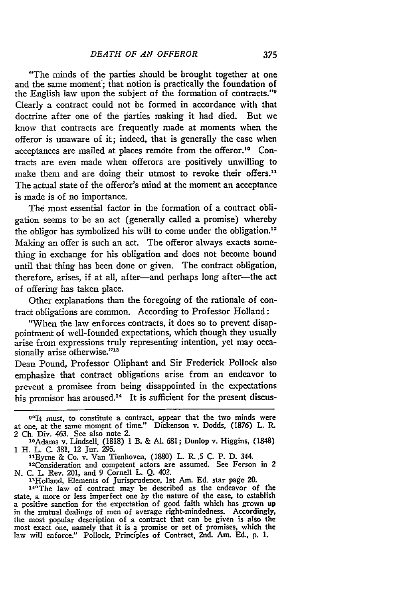"The minds of the parties should be brought together at one and the same moment'; that notion is practically the foundation of the English law upon the subject of the formation of contracts."' Clearly a contract could not be formed in accordance with that doctrine after one of the parties making it had died. But we know that contracts are frequently made at moments when the offeror is unaware of it; indeed, that is generally the case when acceptances are mailed at places remote from the offeror.<sup>10</sup> Contracts are even made when offerors are positively unwilling to make them and are doing their utmost to revoke their offers." The actual state of the offeror's mind at the moment an acceptance is made is of no importance.

The most essential factor in the formation of a contract obligation seems to be an act (generally called a promise) whereby the obligor has symbolized his will to come under the obligation.<sup>12</sup> Making an offer is such an act. The offeror always exacts something in exchange for his obligation and does not become bound until that thing has been done or given. The contract obligation, therefore, arises, if at all, after-and perhaps long after-the act of offering has taken place.

Other explanations than the foregoing of the rationale of contract obligations are common. According to Professor Holland:

"When the law enforces contracts, it does so to prevent disappointment of well-founded expectations, which though they usually arise from expressions truly representing intention, yet may occasionally arise otherwise."<sup>13</sup>

Dean Pound, Professor Oliphant and Sir Frederick Pollock also emphasize that contract obligations arise from an endeavor to prevent a promisee from being disappointed in the expectations his promisor has aroused.<sup>14</sup> It is sufficient for the present discus-

14"The law of contract may be described as the endeavor of the state, a more or less imperfect one by the nature of the case, to establish a positive sanction for the expectation of good faith which has grown up in the mutual dealings of men of average right-mindedness. Accordingly, the most popular description of a contract that can be given is also the most exact one, namely that it is a promise or set of promises, which the law will enforce." Pollock, Principles of Contract, 2nd. Am. **Ed.,** p. 1.

**<sup>9</sup> "It** must, to constitute a contract, appear that the two minds were at one, at the same moment of time." Dickenson v. Dodds, (1876) L. R. 2 Ch. Div. 463. See also note 2. ' 0Adams v. Lindsell, (1818) 1 B. & **Al.** 681; Dunlop v. Higgins, (1848)

<sup>1</sup> H. L. C. 381, 12 Jur. 295.

<sup>&</sup>quot;Byrne & Co. v. Van Tienhoven, (1880) L. **R.5 C.** P. D. **344.**

<sup>&</sup>lt;sup>12</sup>Consideration and competent actors are assumed. See Ferson in 2 N. C. L Rev. 201, and **9** Cornell L. Q. 402.

<sup>&</sup>lt;sup>13</sup>Holland, Elements of Jurisprudence, 1st Am. Ed. star page 20.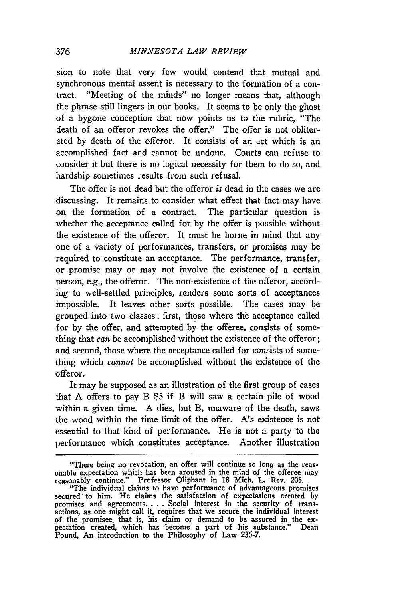sion to note that very few would contend that mutual and synchronous mental assent is necessary to the formation of a contract. "Meeting of the minds" no longer means that, although the phrase still lingers in our books. It seems to be only the ghost of a bygone conception that now points us to the rubric, "The death of an offeror revokes the offer." The offer is not obliterated by death of the offeror. It consists of an act which is an accomplished fact and cannot be undone. Courts can refuse to consider it but there is no logical necessity for them to do so, and hardship sometimes results from such refusal.

The offer is not dead but the offeror *is* dead in the cases we are discussing. It remains to consider what effect that fact may have on the formation of a contract. The particular question is whether the acceptance called for by the offer is possible without the existence of the offeror. It must be borne in mind that any one of a variety of performances, transfers, or promises may be required to constitute an acceptance. The performance, transfer, or promise may or may not involve the existence of a certain person, e.g., the offeror. The non-existence of the offeror, according to well-settled principles, renders some sorts of acceptances impossible. It leaves other sorts possible. The cases may be grouped into two classes: first, those where the acceptance called for by the offer, and attempted by the offeree, consists of something that *can* be accomplished without the existence of the offeror; and second, those where the acceptance called for consists of something which *cannot* be accomplished without the existence of the offeror.

It may be supposed as an illustration of the first group of cases that A offers to pay B \$5 if B will saw a certain pile of wood within a given time. A dies, but B, unaware of the death, saws the wood within the time limit of the offer. A's existence is not essential to that kind of performance. He is not a party to the performance which constitutes acceptance. Another illustration

<sup>&</sup>quot;There being no revocation, an offer will continue so long as the reas- onable expectation which has been aroused in the mind of the offerec may reasonably continue." Professor Oliphant in 18 Mich. L Rev. 205.

<sup>&</sup>quot;The individual claims to have performance of advantageous promises secured to him. He claims the satisfaction of expectations created by promises and agreements **....** Social interest in the security of trans-actions, as one might call it, requires that we secure the individual interest of the promisee, that is, his claim or demand to be assured in the ex- pectation created, which has become a part of his substance." Dean Pound, An introduction to the Philosophy of Law 236-7.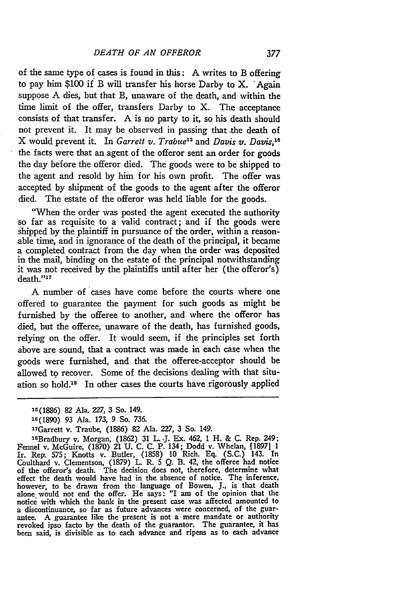of the same type of cases is found in this: **A** writes to B offering to pay him **\$100** if B will transfer his horse Darby to X. 'Again suppose **A** dies, but that B, unaware of the death, and within the time limit of the offer, transfers Darby to X. The acceptance consists of that transfer. **A** is no party to it, so his death should not prevent it. It may be observed in passing that the death of X would prevent it. In *Garrett v. Trabu'e5* and *Davis v. Davis,'8* the facts were that an agent of the offeror sent an order for goods the day before the offeror died. The goods were to be shipped to the agent and resold **by** him for his own profit. The offer **was** accepted **by** shipment of the goods to the agent after the offeror died. The estate of the offeror was held liable for the goods.

"When the order was posted the agent executed the authority so far as requisite to a valid contract; and if the goods were shipped **by** the plaintiff in pursuance of the order, within a reasonable time, and in ignorance of the death of the principal, it became a completed contract from the day when the order was deposited in the mail, binding on the estate of the principal notwithstanding it was not received **by** the plaintiffs until after her (the offeror's) death."<sup>17</sup>

**A** number of cases have come before the courts where one offered to guarantee the payment for such goods as might be furnished **by** the offeree to another, and where the offeror has died, but the offeree, unaware of the death, has furnished goods, relying on the offer. It would seem, if the principles set forth above are sound, that a contract was made in each case when the goods were furnished, and that the offeree-acceptor should be allowed to recover. Some of the decisions dealing with that situation so hold.<sup>18</sup> In other cases the courts have rigorously applied

'BBradbury v. Morgan, **(1862) 31 L .J.** Ex. 462, **1** H. & **C.** Rep. 249; Fennel v. McGuire, **(1870)** 21 **U. C. C.** P. 134; Dodd **v.** Whelan, **[1897] 1** Ir. Rep. **575;** Knotts v. Butler, **(1858) 10** Rich. **Eq. (S.C.)** 143. In Coulthard v. Clementson, **(1879) L.** R. **5 Q.** B. 42, the offeree had notice of the offeror's death. The decision does not, therefore, determine what effect the death would have had in the absence of notice. The inference however, to be drawn from the language of Bowen, **J.,** is that death alone would not end the offer. He says: "I am of the opinion that the notice with which the bank in the present case was affected amounted to a discontinuance, so far as future advances were concerned, of the guarantee. **A** guarantee like the present is not a mere mandate or authority revoked ipso facto **by** the death of the guarantor. The guarantee, it has been said, is divisible as to each advance and ripens as to each advance

<sup>25</sup>**(1886) 82** Ala. 227, **3** So. 149.

<sup>16(1890) 93</sup> Ala. **173,** 9 So. **736.**

<sup>&</sup>quot;7Garrett v. Traube, **(1886) 82** Ala. **227, 3** So. 149.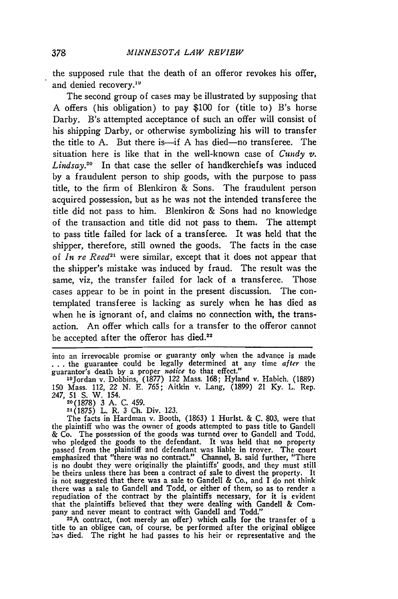the supposed rule that the death of an offeror revokes his offer, and denied recovery.<sup>19</sup>

The second group of cases may be illustrated by supposing that A offers (his obligation) to pay \$100 for (title to) B's horse Darby. B's attempted acceptance of such an offer will consist of his shipping Darby, or otherwise symbolizing his will to transfer the title to A. But there is—if A has died—no transferee. The situation here is like that in the well-known case of *Cundy v.* Lindsay.<sup>20</sup> In that case the seller of handkerchiefs was induced by a fraudulent person to ship goods, with the purpose to pass title, to the firm of Blenkiron & Sons. The fraudulent person acquired possession, but as he was not the intended transferee the title did not pass to him. Blenkiron & Sons had no knowledge of the transaction and title did not pass to them. The attempt to pass title failed for lack of a transferee. It was held that the shipper, therefore, still owned the goods. The facts in the case of *In re Reed*<sup>21</sup> were similar, except that it does not appear that the shipper's mistake was induced by fraud. The result was the same, viz, the transfer failed for lack of a transferee. Those cases appear to be in point in the present discussion. The contemplated transferee is lacking as surely when he has died as when he is ignorant of, and claims no connection with, the transaction. An offer which calls for a transfer to the offeror cannot be accepted after the offeror has died.<sup>22</sup>

into an irrevocable promise or guaranty only when the advance is made *...* the guarantee could be legally determined at any time *after* the guarantor's death **by** a proper *notice* to that effect."

**21(1875)** L. R. **3 Ch.** Div. 123.

The facts in Hardman v. Booth, (1863) 1 Hurlst. & C. **803,** were that the plaintiff who was the owner of goods attempted to pass title to Gandell & Co. The possession of the goods was turned over to Gandell and Todd, who pledged the goods to the defendant. It was held that no property passed from the plaintiff and defendant was liable in trover. The cour emphasized that "there was no contract." Channel, B. said further, "There is no doubt they were originally the plaintiffs' goods, and they must still be theirs unless there has been a contract of sale to divest the property. It is not suggested that there was a sale to Gandell & Co., and I do not think there was a sale to Gandell and Todd, or either of them, so as to render a there was a sale to Gandell and Todd, or either of them, so as to render a repudiation of the contract by the plaintiffs necessary, for it is evident that the plaintiffs believed that they were dealing with Gandell & Company and never meant to contract with Gandell and Todd."

<sup>22</sup>A contract, (not merely an offer) which calls for the transfer of a title to an obligee can, of course, be performed after the original obligee has died. The right he had passes to his heir or representative and the

<sup>1</sup> 9 Jordan v. Dobbins, **(1877)** 122 Mass. **168;** Hyland v. Habich. **(1889) 150** Mass. 112, 22 **N. E. 765;** Aitkin v. Lang, **(1899)** 21 **Ky.** L. Rep. 247, **51 S.** W. 154. **20(1878)** 3 A. C. 459.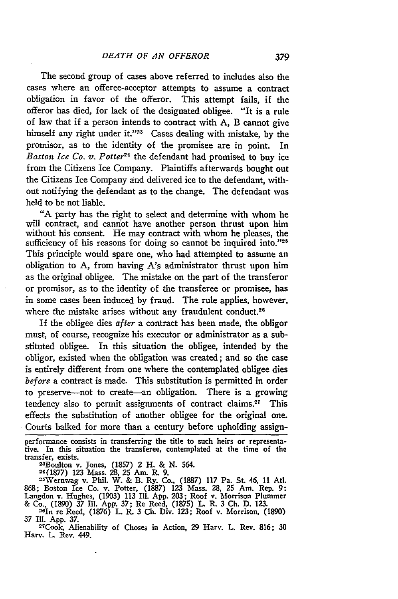The second group of cases above referred to includes also the cases where an offeree-acceptor attempts to assume a contract obligation in favor of the offeror. This attempt fails, if the offeror has died, for lack of the designated obligee. "It is a rule of law that if a person intends to contract with A, B cannot give himself any right under **it. ' <sup>23</sup>**Cases dealing with mistake, by the promisor, as to the identity of the promisee are in point. In *Boston Ice Co. v. Potter24* the defendant had promised to buy ice from the Citizens Ice Company. Plaintiffs afterwards bought out the Citizens Ice Company and delivered ice to the defendant, without notifying the defendant as to the change. The defendant was held to be not liable.

**"A** party has the right to select and determine with whom he will contract, and cannot have another person thrust upon him without his consent. He may contract with whom he pleases, the sufficiency of his reasons for doing so cannot be inquired into."25 This principle would spare one, who had attempted to assume an obligation to **A,** from having A's administrator thrust upon him as the original obligee. The mistake on the part of the transferor or promisor, as to the identity of the transferee or promisee, has in some cases been induced **by** fraud. The rule applies, however. where the mistake arises without any fraudulent conduct.<sup>26</sup>

If the obligee dies *after* a contract has been made, the obligor must, of course, recognize his executor or administrator as a substituted obligee. In this situation the obligee, intended **by** the obligor, existed when the obligation was created; and so the case is entirely different from one where the contemplated obligee dies *before* a contract is made. This substitution is permitted in order to preserve-not to create-an obligation. There is a growing tendency also to permit assignments of contract claims.<sup>27</sup> This effects the substitution of another obligee for the original one. Courts balked for more than a century before upholding assign-

performance consists in transferring the title to such heirs or representative. In this situation the transferee, contemplated at the time of the transfer, exists.<br>
<sup>23</sup>Boulton v. Jones, (1857) 2 H. & N. 564.<br>
<sup>24</sup>(1877) 123 Mass. 28, 25 Am. R. 9.<br>
<sup>25</sup>Wernwag v. Phil. W. & B. Ry. Co., (1887) 117 Pa. St. 46, 11 Atl.

868; Boston Ice Co. v. Potter, (1887) **123** Mass. **28,** 25 Am. Rep. 9: Langdon v. Hughes, (1903) **113** Ill. **App.** 203; Roof v. Morrison Plummer & Co.. (1890) 37 Ill. App. *37;* Re Reed, (1875) L R. **3** Ch. **D.** 123. <sup>28</sup> in re Reed, (1876) L. R. **3 Ch.** Div. 123; Roof v. Morrison, (1890)

**37** Ill. **App.** 37.

27Cook, Alienability of Choses in Action, 29 Harv. L. Rev. 816; **30** Harv. **L** Rev. 449.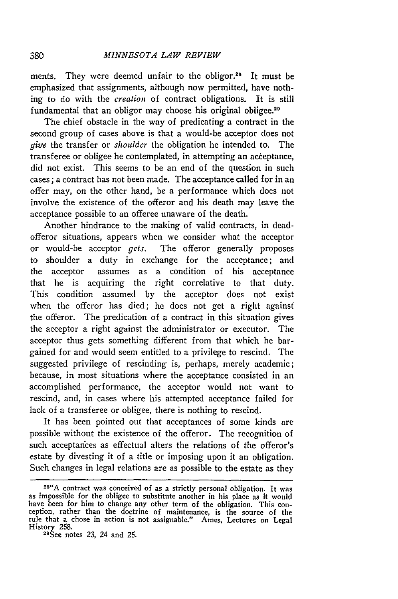ments. They were deemed unfair to the obligor.<sup>28</sup> It must be emphasized that assignments, although now permitted, have nothing to do with the *creation* of contract obligations. It is still fundamental that an obligor may choose his original obligee.<sup>29</sup>

The chief obstacle in the way of predicating a contract in the second group of cases above is that a would-be acceptor does not *give* the transfer or *shoulder* the obligation he intended to. The transferee or obligee he contemplated, in attempting an aceeptance, did not exist. This seems to be an end of the question in such cases; a contract has not been made. The acceptance called for in an offer may, on the other hand, be a performance which does not involve the existence of the offeror and his death may leave the acceptance possible to an offeree unaware of the death.

Another hindrance to the making of valid contracts, in deadofferor situations, appears when we consider what the acceptor or would-be acceptor *gets.* The offeror generally proposes to shoulder a duty in exchange for the acceptance; and the acceptor assumes as a condition of his acceptance that he is acquiring the right correlative to that duty. This condition assumed by the acceptor does not exist when the offeror has died; he does not get a right against the offeror. The predication of a contract in this situation gives the acceptor a right against the administrator or executor. The acceptor thus gets something different from that which he bargained for and would seem entitled to a privilege to rescind. The suggested privilege of rescinding is, perhaps, merely academic; because, in most situations where the acceptance consisted in an accomplished performance, the acceptor would not want to rescind, and, in cases where his attempted acceptance failed for lack of a transferee or obligee, there is nothing to rescind.

It has been pointed out that acceptances of some kinds are possible without the existence of the offeror. The recognition of such acceptanices as effectual alters the relations of the offeror's estate by divesting it of a title or imposing upon it an obligation. Such changes in legal relations are as possible to the estate as they

**<sup>28&</sup>quot;A** contract was conceived of as a strictly personal obligation. It was as impossible for the obligee to substitute another in his place as it would<br>have been for him to change any other term of the obligation. This conhave been for him to change any other term of the obligation. This con- ception, rather than the doctrine of maintenance, is the source of **the** rule that a chose in action is not assignable." Ames. Lectures on Legal History 258.

See notes **23,** 24 and 25.